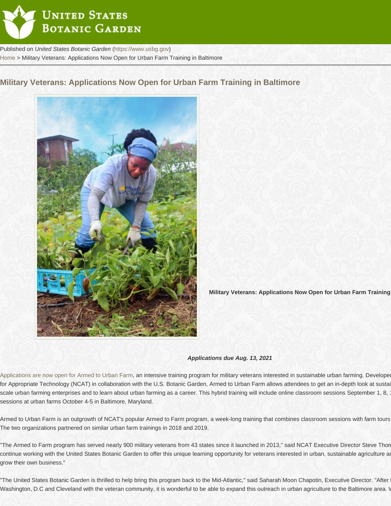Military Veterans: Applications Now Open for Urban Farm Training in Baltimore





[Applications are now open for Armed to Urban Farm](http://www.ncat.org/atf_MD), an intensive training program for military veterans interested in sustainable urban farming. Develope for Appropriate Technology (NCAT) in collaboration with the U.S. Botanic Garden, Armed to Urban Farm allows attendees to get an in-depth look at sustai scale urban farming enterprises and to learn about urban farming as a career. This hybrid training will include online classroom sessions September 1, 8, 15, and 22, plus in-person sessions at urban farms October 4-5 in Baltimore, Maryland.

Armed to Urban Farm is an outgrowth of NCAT's popular Armed to Farm program, a week-long training that combines classroom sessions with farm tours The two organizations partnered on similar urban farm trainings in 2018 and 2019.

"The Armed to Farm program has served nearly 900 military veterans from 43 states since it launched in 2013," said NCAT Executive Director Steve Thor continue working with the United States Botanic Garden to offer this unique learning opportunity for veterans interested in urban, sustainable agriculture and how they can start or they can start or the start or start and grow their own business."

"The United States Botanic Garden is thrilled to help bring this program back to the Mid-Atlantic," said Saharah Moon Chapotin, Executive Director. "After Washington, D.C and Cleveland with the veteran community, it is wonderful to be able to expand this outreach in urban agriculture to the Baltimore area. \